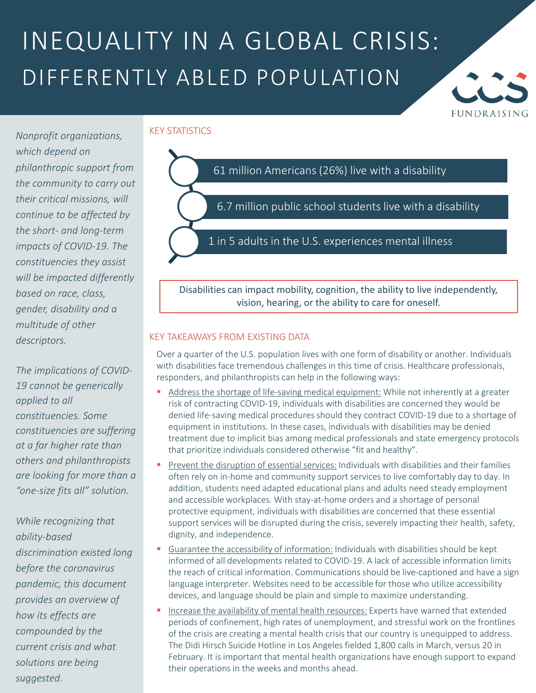### INEQUALITY IN A GLOBAL CRISIS: DIFFERENTLY ABLED POPULATION



KEY STATISTICS

*Nonprofit organizations, which depend on philanthropic support from the community to carry out their critical missions, will continue to be affected by the short- and long-term impacts of COVID-19. The constituencies they assist will be impacted differently based on race, class, gender, disability and a multitude of other descriptors.*

*The implications of COVID-19 cannot be generically applied to all constituencies. Some constituencies are suffering at a far higher rate than others and philanthropists are looking for more than a "one-size fits all" solution.*

*While recognizing that ability-based discrimination existed long before the coronavirus pandemic, this document provides an overview of how its effects are compounded by the current crisis and what solutions are being suggested.*

# 61 million Americans (26%) live with a disability 6.7 million public school students live with a disability 1 in 5 adults in the U.S. experiences mental illness

Disabilities can impact mobility, cognition, the ability to live independently, vision, hearing, or the ability to care for oneself.

#### KEY TAKEAWAYS FROM EXISTING DATA

Over a quarter of the U.S. population lives with one form of disability or another. Individuals with disabilities face tremendous challenges in this time of crisis. Healthcare professionals, responders, and philanthropists can help in the following ways:

- Address the shortage of life-saving medical equipment: While not inherently at a greater risk of contracting COVID-19, individuals with disabilities are concerned they would be denied life-saving medical procedures should they contract COVID-19 due to a shortage of equipment in institutions. In these cases, individuals with disabilities may be denied treatment due to implicit bias among medical professionals and state emergency protocols that prioritize individuals considered otherwise "fit and healthy".
- Prevent the disruption of essential services: Individuals with disabilities and their families often rely on in-home and community support services to live comfortably day to day. In addition, students need adapted educational plans and adults need steady employment and accessible workplaces. With stay-at-home orders and a shortage of personal protective equipment, individuals with disabilities are concerned that these essential support services will be disrupted during the crisis, severely impacting their health, safety, dignity, and independence.
- Guarantee the accessibility of information: Individuals with disabilities should be kept informed of all developments related to COVID-19. A lack of accessible information limits the reach of critical information. Communications should be live-captioned and have a sign language interpreter. Websites need to be accessible for those who utilize accessibility devices, and language should be plain and simple to maximize understanding.
- Increase the availability of mental health resources: Experts have warned that extended periods of confinement, high rates of unemployment, and stressful work on the frontlines of the crisis are creating a mental health crisis that our country is unequipped to address. The Didi Hirsch Suicide Hotline in Los Angeles fielded 1,800 calls in March, versus 20 in February. It is important that mental health organizations have enough support to expand their operations in the weeks and months ahead.